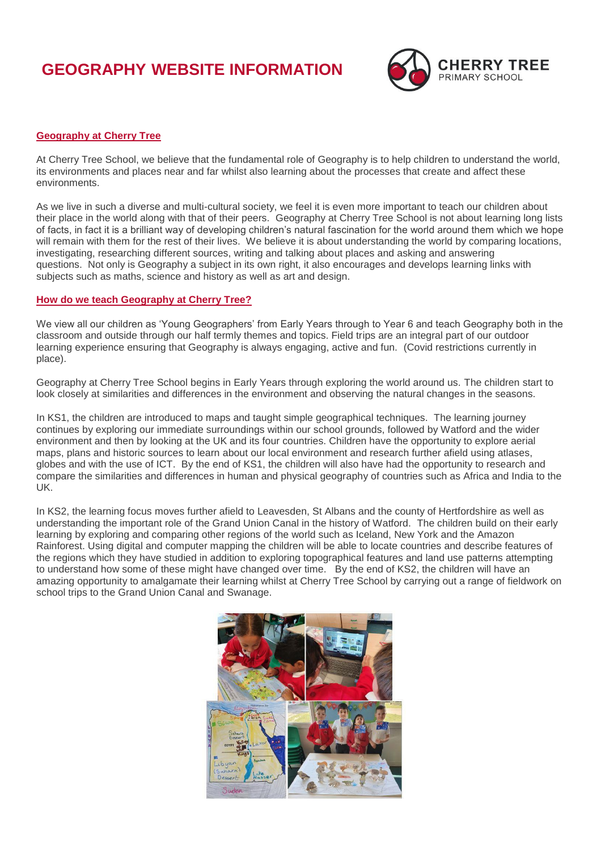## **GEOGRAPHY WEBSITE INFORMATION**



## **Geography at Cherry Tree**

At Cherry Tree School, we believe that the fundamental role of Geography is to help children to understand the world, its environments and places near and far whilst also learning about the processes that create and affect these environments.

As we live in such a diverse and multi-cultural society, we feel it is even more important to teach our children about their place in the world along with that of their peers. Geography at Cherry Tree School is not about learning long lists of facts, in fact it is a brilliant way of developing children's natural fascination for the world around them which we hope will remain with them for the rest of their lives. We believe it is about understanding the world by comparing locations, investigating, researching different sources, writing and talking about places and asking and answering questions. Not only is Geography a subject in its own right, it also encourages and develops learning links with subjects such as maths, science and history as well as art and design.

## **How do we teach Geography at Cherry Tree?**

We view all our children as 'Young Geographers' from Early Years through to Year 6 and teach Geography both in the classroom and outside through our half termly themes and topics. Field trips are an integral part of our outdoor learning experience ensuring that Geography is always engaging, active and fun. (Covid restrictions currently in place).

Geography at Cherry Tree School begins in Early Years through exploring the world around us. The children start to look closely at similarities and differences in the environment and observing the natural changes in the seasons.

In KS1, the children are introduced to maps and taught simple geographical techniques. The learning journey continues by exploring our immediate surroundings within our school grounds, followed by Watford and the wider environment and then by looking at the UK and its four countries. Children have the opportunity to explore aerial maps, plans and historic sources to learn about our local environment and research further afield using atlases, globes and with the use of ICT. By the end of KS1, the children will also have had the opportunity to research and compare the similarities and differences in human and physical geography of countries such as Africa and India to the UK.

In KS2, the learning focus moves further afield to Leavesden, St Albans and the county of Hertfordshire as well as understanding the important role of the Grand Union Canal in the history of Watford. The children build on their early learning by exploring and comparing other regions of the world such as Iceland, New York and the Amazon Rainforest. Using digital and computer mapping the children will be able to locate countries and describe features of the regions which they have studied in addition to exploring topographical features and land use patterns attempting to understand how some of these might have changed over time. By the end of KS2, the children will have an amazing opportunity to amalgamate their learning whilst at Cherry Tree School by carrying out a range of fieldwork on school trips to the Grand Union Canal and Swanage.